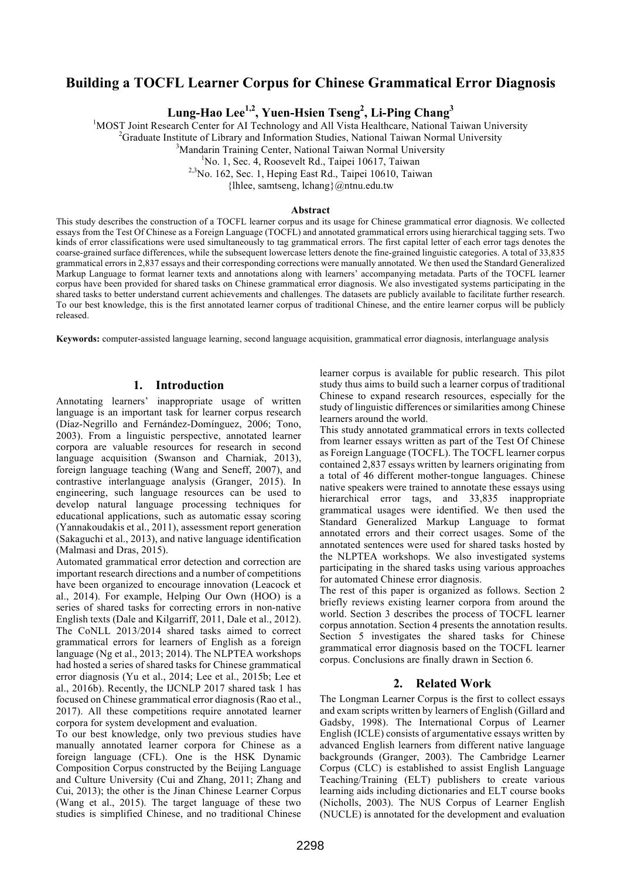# **Building a TOCFL Learner Corpus for Chinese Grammatical Error Diagnosis**

**Lung-Hao Lee1,2, Yuen-Hsien Tseng2 , Li-Ping Chang3**

<sup>1</sup>MOST Joint Research Center for AI Technology and All Vista Healthcare, National Taiwan University

 $^{2}$ Graduate Institute of Library and Information Studies, National Taiwan Normal University

<sup>3</sup>Mandarin Training Center, National Taiwan Normal University

<sup>1</sup>No. 1, Sec. 4, Roosevelt Rd., Taipei 10617, Taiwan

 $^{2,3}$ No. 162, Sec. 1, Heping East Rd., Taipei 10610, Taiwan

{lhlee, samtseng, lchang}@ntnu.edu.tw

#### **Abstract**

This study describes the construction of a TOCFL learner corpus and its usage for Chinese grammatical error diagnosis. We collected essays from the Test Of Chinese as a Foreign Language (TOCFL) and annotated grammatical errors using hierarchical tagging sets. Two kinds of error classifications were used simultaneously to tag grammatical errors. The first capital letter of each error tags denotes the coarse-grained surface differences, while the subsequent lowercase letters denote the fine-grained linguistic categories. A total of 33,835 grammatical errors in 2,837 essays and their corresponding corrections were manually annotated. We then used the Standard Generalized Markup Language to format learner texts and annotations along with learners' accompanying metadata. Parts of the TOCFL learner corpus have been provided for shared tasks on Chinese grammatical error diagnosis. We also investigated systems participating in the shared tasks to better understand current achievements and challenges. The datasets are publicly available to facilitate further research. To our best knowledge, this is the first annotated learner corpus of traditional Chinese, and the entire learner corpus will be publicly released.

**Keywords:** computer-assisted language learning, second language acquisition, grammatical error diagnosis, interlanguage analysis

### **1. Introduction**

Annotating learners' inappropriate usage of written language is an important task for learner corpus research (Díaz-Negrillo and Fernández-Domínguez, 2006; Tono, 2003). From a linguistic perspective, annotated learner corpora are valuable resources for research in second language acquisition (Swanson and Charniak, 2013), foreign language teaching (Wang and Seneff, 2007), and contrastive interlanguage analysis (Granger, 2015). In engineering, such language resources can be used to develop natural language processing techniques for educational applications, such as automatic essay scoring (Yannakoudakis et al., 2011), assessment report generation (Sakaguchi et al., 2013), and native language identification (Malmasi and Dras, 2015).

Automated grammatical error detection and correction are important research directions and a number of competitions have been organized to encourage innovation (Leacock et al., 2014). For example, Helping Our Own (HOO) is a series of shared tasks for correcting errors in non-native English texts (Dale and Kilgarriff, 2011, Dale et al., 2012). The CoNLL 2013/2014 shared tasks aimed to correct grammatical errors for learners of English as a foreign language (Ng et al., 2013; 2014). The NLPTEA workshops had hosted a series of shared tasks for Chinese grammatical error diagnosis (Yu et al., 2014; Lee et al., 2015b; Lee et al., 2016b). Recently, the IJCNLP 2017 shared task 1 has focused on Chinese grammatical error diagnosis (Rao et al., 2017). All these competitions require annotated learner corpora for system development and evaluation.

To our best knowledge, only two previous studies have manually annotated learner corpora for Chinese as a foreign language (CFL). One is the HSK Dynamic Composition Corpus constructed by the Beijing Language and Culture University (Cui and Zhang, 2011; Zhang and Cui, 2013); the other is the Jinan Chinese Learner Corpus (Wang et al., 2015). The target language of these two studies is simplified Chinese, and no traditional Chinese learner corpus is available for public research. This pilot study thus aims to build such a learner corpus of traditional Chinese to expand research resources, especially for the study of linguistic differences or similarities among Chinese learners around the world.

This study annotated grammatical errors in texts collected from learner essays written as part of the Test Of Chinese as Foreign Language (TOCFL). The TOCFL learner corpus contained 2,837 essays written by learners originating from a total of 46 different mother-tongue languages. Chinese native speakers were trained to annotate these essays using hierarchical error tags, and 33,835 inappropriate grammatical usages were identified. We then used the Standard Generalized Markup Language to format annotated errors and their correct usages. Some of the annotated sentences were used for shared tasks hosted by the NLPTEA workshops. We also investigated systems participating in the shared tasks using various approaches for automated Chinese error diagnosis.

The rest of this paper is organized as follows. Section 2 briefly reviews existing learner corpora from around the world. Section 3 describes the process of TOCFL learner corpus annotation. Section 4 presents the annotation results. Section 5 investigates the shared tasks for Chinese grammatical error diagnosis based on the TOCFL learner corpus. Conclusions are finally drawn in Section 6.

#### **2. Related Work**

The Longman Learner Corpus is the first to collect essays and exam scripts written by learners of English (Gillard and Gadsby, 1998). The International Corpus of Learner English (ICLE) consists of argumentative essays written by advanced English learners from different native language backgrounds (Granger, 2003). The Cambridge Learner Corpus (CLC) is established to assist English Language Teaching/Training (ELT) publishers to create various learning aids including dictionaries and ELT course books (Nicholls, 2003). The NUS Corpus of Learner English (NUCLE) is annotated for the development and evaluation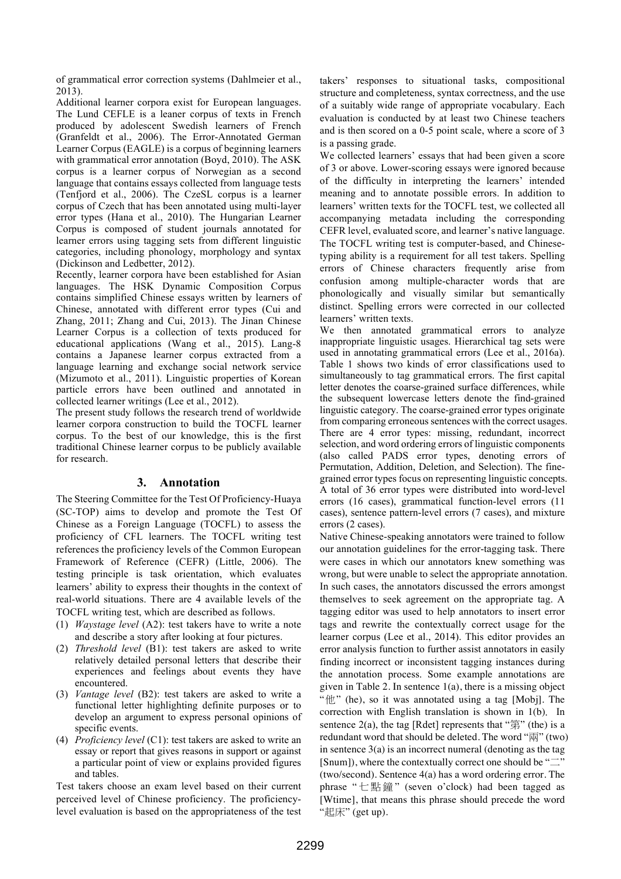of grammatical error correction systems (Dahlmeier et al., 2013).

Additional learner corpora exist for European languages. The Lund CEFLE is a leaner corpus of texts in French produced by adolescent Swedish learners of French (Granfeldt et al., 2006). The Error-Annotated German Learner Corpus (EAGLE) is a corpus of beginning learners with grammatical error annotation (Boyd, 2010). The ASK corpus is a learner corpus of Norwegian as a second language that contains essays collected from language tests (Tenfjord et al., 2006). The CzeSL corpus is a learner corpus of Czech that has been annotated using multi-layer error types (Hana et al., 2010). The Hungarian Learner Corpus is composed of student journals annotated for learner errors using tagging sets from different linguistic categories, including phonology, morphology and syntax (Dickinson and Ledbetter, 2012).

Recently, learner corpora have been established for Asian languages. The HSK Dynamic Composition Corpus contains simplified Chinese essays written by learners of Chinese, annotated with different error types (Cui and Zhang, 2011; Zhang and Cui, 2013). The Jinan Chinese Learner Corpus is a collection of texts produced for educational applications (Wang et al., 2015). Lang-8 contains a Japanese learner corpus extracted from a language learning and exchange social network service (Mizumoto et al., 2011). Linguistic properties of Korean particle errors have been outlined and annotated in collected learner writings (Lee et al., 2012).

The present study follows the research trend of worldwide learner corpora construction to build the TOCFL learner corpus. To the best of our knowledge, this is the first traditional Chinese learner corpus to be publicly available for research.

#### **3. Annotation**

The Steering Committee for the Test Of Proficiency-Huaya (SC-TOP) aims to develop and promote the Test Of Chinese as a Foreign Language (TOCFL) to assess the proficiency of CFL learners. The TOCFL writing test references the proficiency levels of the Common European Framework of Reference (CEFR) (Little, 2006). The testing principle is task orientation, which evaluates learners' ability to express their thoughts in the context of real-world situations. There are 4 available levels of the TOCFL writing test, which are described as follows.

- (1) *Waystage level* (A2): test takers have to write a note and describe a story after looking at four pictures.
- (2) *Threshold level* (B1): test takers are asked to write relatively detailed personal letters that describe their experiences and feelings about events they have encountered.
- (3) *Vantage level* (B2): test takers are asked to write a functional letter highlighting definite purposes or to develop an argument to express personal opinions of specific events.
- (4) *Proficiency level* (C1): test takers are asked to write an essay or report that gives reasons in support or against a particular point of view or explains provided figures and tables.

Test takers choose an exam level based on their current perceived level of Chinese proficiency. The proficiencylevel evaluation is based on the appropriateness of the test takers' responses to situational tasks, compositional structure and completeness, syntax correctness, and the use of a suitably wide range of appropriate vocabulary. Each evaluation is conducted by at least two Chinese teachers and is then scored on a 0-5 point scale, where a score of 3 is a passing grade.

We collected learners' essays that had been given a score of 3 or above. Lower-scoring essays were ignored because of the difficulty in interpreting the learners' intended meaning and to annotate possible errors. In addition to learners' written texts for the TOCFL test, we collected all accompanying metadata including the corresponding CEFR level, evaluated score, and learner's native language. The TOCFL writing test is computer-based, and Chinesetyping ability is a requirement for all test takers. Spelling errors of Chinese characters frequently arise from confusion among multiple-character words that are phonologically and visually similar but semantically distinct. Spelling errors were corrected in our collected learners' written texts.

We then annotated grammatical errors to analyze inappropriate linguistic usages. Hierarchical tag sets were used in annotating grammatical errors (Lee et al., 2016a). Table 1 shows two kinds of error classifications used to simultaneously to tag grammatical errors. The first capital letter denotes the coarse-grained surface differences, while the subsequent lowercase letters denote the find-grained linguistic category. The coarse-grained error types originate from comparing erroneous sentences with the correct usages. There are 4 error types: missing, redundant, incorrect selection, and word ordering errors of linguistic components (also called PADS error types, denoting errors of Permutation, Addition, Deletion, and Selection). The finegrained error types focus on representing linguistic concepts. A total of 36 error types were distributed into word-level errors (16 cases), grammatical function-level errors (11 cases), sentence pattern-level errors (7 cases), and mixture errors (2 cases).

Native Chinese-speaking annotators were trained to follow our annotation guidelines for the error-tagging task. There were cases in which our annotators knew something was wrong, but were unable to select the appropriate annotation. In such cases, the annotators discussed the errors amongst themselves to seek agreement on the appropriate tag. A tagging editor was used to help annotators to insert error tags and rewrite the contextually correct usage for the learner corpus (Lee et al., 2014). This editor provides an error analysis function to further assist annotators in easily finding incorrect or inconsistent tagging instances during the annotation process. Some example annotations are given in Table 2. In sentence 1(a), there is a missing object "他" (he), so it was annotated using a tag [Mobj]. The correction with English translation is shown in 1(b). In sentence  $2(a)$ , the tag [Rdet] represents that " $\hat{\mathfrak{B}}$ " (the) is a redundant word that should be deleted. The word "兩" (two) in sentence  $3(a)$  is an incorrect numeral (denoting as the tag [Snum]), where the contextually correct one should be " $\equiv$ " (two/second). Sentence 4(a) has a word ordering error. The phrase "七點鐘" (seven o'clock) had been tagged as [Wtime], that means this phrase should precede the word "起床" (get up).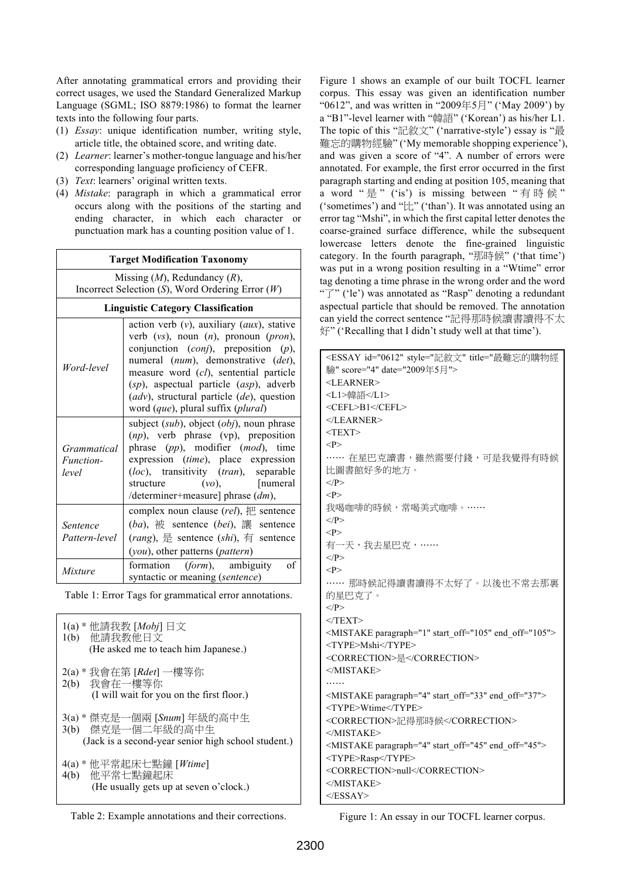After annotating grammatical errors and providing their correct usages, we used the Standard Generalized Markup Language (SGML; ISO 8879:1986) to format the learner texts into the following four parts.

- (1) *Essay*: unique identification number, writing style, article title, the obtained score, and writing date.
- (2) *Learner*: learner's mother-tongue language and his/her corresponding language proficiency of CEFR.
- (3) *Text*: learners' original written texts.
- (4) *Mistake*: paragraph in which a grammatical error occurs along with the positions of the starting and ending character, in which each character or punctuation mark has a counting position value of 1.

| <b>Target Modification Taxonomy</b>                                                      |                                                                                                                                                                                                                                                                                                                                                                          |  |  |  |  |  |
|------------------------------------------------------------------------------------------|--------------------------------------------------------------------------------------------------------------------------------------------------------------------------------------------------------------------------------------------------------------------------------------------------------------------------------------------------------------------------|--|--|--|--|--|
| Missing $(M)$ , Redundancy $(R)$ ,<br>Incorrect Selection (S), Word Ordering Error $(W)$ |                                                                                                                                                                                                                                                                                                                                                                          |  |  |  |  |  |
| <b>Linguistic Category Classification</b>                                                |                                                                                                                                                                                                                                                                                                                                                                          |  |  |  |  |  |
| Word-level                                                                               | action verb $(v)$ , auxiliary $(aux)$ , stative<br>verb $(vs)$ , noun $(n)$ , pronoun $(pron)$ ,<br>conjunction $(conj)$ , preposition $(p)$ ,<br>numeral (num), demonstrative (det),<br>measure word (cl), sentential particle<br>$(sp)$ , aspectual particle $(asp)$ , adverb<br>$(adv)$ , structural particle $(de)$ , question<br>word (que), plural suffix (plural) |  |  |  |  |  |
| Grammatical<br>Function-<br>level                                                        | subject (sub), object (obj), noun phrase<br>$(np)$ , verb phrase (vp), preposition<br>phrase (pp), modifier (mod), time<br>expression (time), place expression<br>(loc), transitivity (tran), separable<br>$(vo)$ , [numeral]<br>structure<br>/determiner+measure] phrase $(dm)$ ,                                                                                       |  |  |  |  |  |
| Sentence<br>Pattern-level                                                                | complex noun clause $(\text{rel})$ , $#$ sentence<br>$(ba)$ , $\partial \overline{c}$ sentence $(bei)$ , $\overline{c}$ sentence<br>(rang), 是 sentence $(shi)$ , 有 sentence<br>(you), other patterns (pattern)                                                                                                                                                           |  |  |  |  |  |
| Mixture                                                                                  | $\sigma$ f<br>formation ( <i>form</i> ), ambiguity<br>syntactic or meaning (sentence)                                                                                                                                                                                                                                                                                    |  |  |  |  |  |

Table 1: Error Tags for grammatical error annotations.

| 1(a) * 他請我教 [Mobj] 日文<br>1(b) 他請我教他日文<br>(He asked me to teach him Japanese.)                           |
|---------------------------------------------------------------------------------------------------------|
| 2(a) * 我會在第 [ <i>Rdet</i> ] 一樓等你<br>2(b) 我會在一樓等你<br>(I will wait for you on the first floor.)           |
| 3(a) * 傑克是一個兩 [Snum] 年級的高中生<br>3(b) 傑克是一個二年級的高中生<br>(Jack is a second-year senior high school student.) |
| 4(a) * 他平常起床七點鐘 [Wtime]<br>4(b) 他平常七點鐘起床<br>(He usually gets up at seven o'clock.)                      |

Table 2: Example annotations and their corrections.

Figure 1 shows an example of our built TOCFL learner corpus. This essay was given an identification number "0612", and was written in "2009年5月" ('May 2009') by a "B1"-level learner with "韓語" ('Korean') as his/her L1. The topic of this "記敘文" ('narrative-style') essay is "最 難忘的購物經驗" ('My memorable shopping experience'), and was given a score of "4". A number of errors were annotated. For example, the first error occurred in the first paragraph starting and ending at position 105, meaning that a word "是" ('is') is missing between "有時候" ('sometimes') and "比" ('than'). It was annotated using an error tag "Mshi", in which the first capital letter denotes the coarse-grained surface difference, while the subsequent lowercase letters denote the fine-grained linguistic category. In the fourth paragraph, "那時候" ('that time') was put in a wrong position resulting in a "Wtime" error tag denoting a time phrase in the wrong order and the word "了" ('le') was annotated as "Rasp" denoting a redundant aspectual particle that should be removed. The annotation can yield the correct sentence "記得那時候讀書讀得不太 好" ('Recalling that I didn't study well at that time').

| <essay date="2009年5月" id="0612" score="4" style="記敘文" title="最難忘的購物經&lt;/td&gt;&lt;/tr&gt;&lt;tr&gt;&lt;td colspan=6&gt;驗"></essay> |  |  |  |  |  |  |
|-------------------------------------------------------------------------------------------------------------------------------------|--|--|--|--|--|--|
| $<$ LEARNER $>$                                                                                                                     |  |  |  |  |  |  |
| <l1>韓語</l1>                                                                                                                         |  |  |  |  |  |  |
| <cefl>B1</cefl>                                                                                                                     |  |  |  |  |  |  |
|                                                                                                                                     |  |  |  |  |  |  |
| $<$ TEXT>                                                                                                                           |  |  |  |  |  |  |
| < P>                                                                                                                                |  |  |  |  |  |  |
| …… 在星巴克讀書,雖然需要付錢,可是我覺得有時候<br>比圖書館好多的地方。                                                                                             |  |  |  |  |  |  |
| $<$ /P>                                                                                                                             |  |  |  |  |  |  |
| < P>                                                                                                                                |  |  |  |  |  |  |
| 我喝咖啡的時候,常喝美式咖啡。……<br>$<$ /P>                                                                                                        |  |  |  |  |  |  |
| < P>                                                                                                                                |  |  |  |  |  |  |
| 有一天,我去星巴克,……                                                                                                                        |  |  |  |  |  |  |
| $<$ /P>                                                                                                                             |  |  |  |  |  |  |
| < P>                                                                                                                                |  |  |  |  |  |  |
| …… 那時候記得讀書讀得不太好了。以後也不常去那裏                                                                                                           |  |  |  |  |  |  |
| 的星巴克了。                                                                                                                              |  |  |  |  |  |  |
| $<$ /P>                                                                                                                             |  |  |  |  |  |  |
| $<$ /TEXT>                                                                                                                          |  |  |  |  |  |  |
| <mistake end_off="105" paragraph="1" start_off="105"></mistake>                                                                     |  |  |  |  |  |  |
| <type>Mshi</type>                                                                                                                   |  |  |  |  |  |  |
| <correction>是</correction>                                                                                                          |  |  |  |  |  |  |
| $<$ /MISTAKE>                                                                                                                       |  |  |  |  |  |  |
| .                                                                                                                                   |  |  |  |  |  |  |
| <mistake end_off="37" paragraph="4" start_off="33"></mistake>                                                                       |  |  |  |  |  |  |
| <type>Wtime</type>                                                                                                                  |  |  |  |  |  |  |
| <correction>記得那時候</correction>                                                                                                      |  |  |  |  |  |  |
| $<$ /MISTAKE>                                                                                                                       |  |  |  |  |  |  |
| <mistake end="" off="45" paragraph="4" start=""></mistake>                                                                          |  |  |  |  |  |  |
| <type>Rasp</type>                                                                                                                   |  |  |  |  |  |  |
| <correction>null</correction>                                                                                                       |  |  |  |  |  |  |
| $<$ /MISTAKE>                                                                                                                       |  |  |  |  |  |  |
| $<$ /ESSAY>                                                                                                                         |  |  |  |  |  |  |

Figure 1: An essay in our TOCFL learner corpus.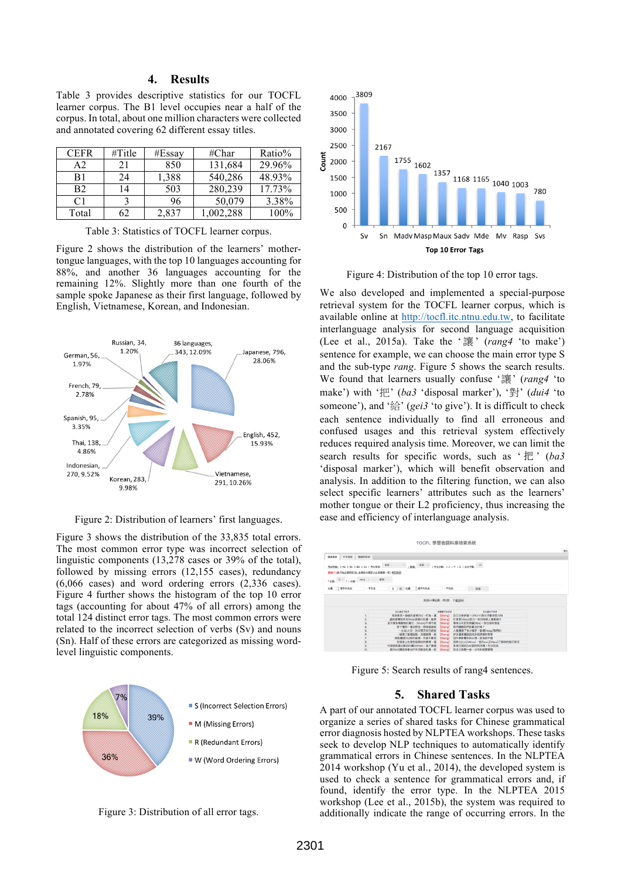#### **4. Results**

Table 3 provides descriptive statistics for our TOCFL learner corpus. The B1 level occupies near a half of the corpus. In total, about one million characters were collected and annotated covering 62 different essay titles.

| <b>CEFR</b>    | $\#\mathrm{Title}$ | #Essay | $\#$ Char | Ratio% |
|----------------|--------------------|--------|-----------|--------|
| A2             | 21                 | 850    | 131,684   | 29.96% |
| B1             | 24                 | 1,388  | 540,286   | 48.93% |
| <b>B2</b>      | 14                 | 503    | 280,239   | 17.73% |
| C <sub>1</sub> |                    | 96     | 50,079    | 3.38%  |
| Total          |                    | 2,837  | 1,002,288 | 100%   |

Table 3: Statistics of TOCFL learner corpus.

Figure 2 shows the distribution of the learners' mothertongue languages, with the top 10 languages accounting for 88%, and another 36 languages accounting for the remaining 12%. Slightly more than one fourth of the sample spoke Japanese as their first language, followed by English, Vietnamese, Korean, and Indonesian.



Figure 2: Distribution of learners' first languages.

Figure 3 shows the distribution of the 33,835 total errors. The most common error type was incorrect selection of linguistic components (13,278 cases or 39% of the total), followed by missing errors (12,155 cases), redundancy (6,066 cases) and word ordering errors (2,336 cases). Figure 4 further shows the histogram of the top 10 error tags (accounting for about 47% of all errors) among the total 124 distinct error tags. The most common errors were related to the incorrect selection of verbs (Sv) and nouns (Sn). Half of these errors are categorized as missing wordlevel linguistic components.



Figure 3: Distribution of all error tags.



Figure 4: Distribution of the top 10 error tags.

We also developed and implemented a special-purpose retrieval system for the TOCFL learner corpus, which is available online at http://tocfl.itc.ntnu.edu.tw, to facilitate interlanguage analysis for second language acquisition (Lee et al., 2015a). Take the ' 讓 ' (*rang4* 'to make') sentence for example, we can choose the main error type S and the sub-type *rang*. Figure 5 shows the search results. We found that learners usually confuse '讓' (*rang4* 'to make') with '把' (*ba3* 'disposal marker'), '對' (*dui4* 'to someone'), and '給' (*gei3* 'to give'). It is difficult to check each sentence individually to find all erroneous and confused usages and this retrieval system effectively reduces required analysis time. Moreover, we can limit the search results for specific words, such as ' 把 ' (*ba3* 'disposal marker'), which will benefit observation and analysis. In addition to the filtering function, we can also select specific learners' attributes such as the learners' mother tongue or their L2 proficiency, thus increasing the ease and efficiency of interlanguage analysis.

| TOCFL 學習者語料庫檢索系統                                                   |                                             |                  |                                      |    |  |  |  |
|--------------------------------------------------------------------|---------------------------------------------|------------------|--------------------------------------|----|--|--|--|
|                                                                    |                                             |                  |                                      | 24 |  |  |  |
| 字串检索<br>開講図検索<br>偏誤檢索                                              |                                             |                  |                                      |    |  |  |  |
| 考試等级: HA2 HB1 HB2 HC1  考生母語:<br>星號(*)表示為必填項目(註、主類或次類至少必須選擇一個) 横記說明 | 全部                                          |                  | 精報: 全部 ·   考生分散: ×3 04 05   左右字数: 15 |    |  |  |  |
| 查询<br>$S - 1$ and<br>rang -<br>* 主題:                               |                                             |                  |                                      |    |  |  |  |
| 左通 二個字内包含<br>- 不但含                                                 | 且 或 右通 二個字内包含                               | ·不但含             | 5538                                 |    |  |  |  |
|                                                                    |                                             | 找到54筆紀錄,共2頁 下載語料 |                                      |    |  |  |  |
|                                                                    | 6.9 通貨常設席                                   | の解除支援経済          | <b>佐永道西学院院</b>                       |    |  |  |  |
|                                                                    | 很多束西·謙虚的姿勢[Sn] ·行為·讓                        | [Srang]          | 自己也有好處。[Mform]我也不斷地努力的               |    |  |  |  |
| $\overline{2}$                                                     | 處則是導致未來[Mde]高齢化社會。能將                        | [Srang]          | 社會更[Myou]活力一些的年輕人逐漸減少                |    |  |  |  |
| 3                                                                  | 是不要負養寵物的責任,[Moon ]不得不給                      | [Srang]          | 寡常公司把狗問題「Rba]·我也得閉情這                 |    |  |  |  |
|                                                                    | 表下禮拜一會訪問您,那時候議給                             | [Srang]          | 我們聽聽您們的看法好嗎?                         |    |  |  |  |
| 6                                                                  | ,比如:火災、洪災第天災已經給                             | [Srang]          | 人類遭遇了多少痛苦,破壞[Masp]我們的                |    |  |  |  |
| 6                                                                  | ·破壊了基礎設施,交通設障。給                             | [Srang]          | 許多國家遭受到很多經濟損失等等                      |    |  |  |  |
| 7.                                                                 | 我能體認[Sy]診的減受·可是不要把                          | [Srang]          | 這件事影響你的心情,因為很不值                      |    |  |  |  |
| B                                                                  | 在我身上也發生過額似的事情,讓<br>行這個高速公路的計畫[Mtime] - 為了通過 | [Srang]          | 我將心比心[Mtime],並[Rcon ]Maux]了解妳的無可奈何   |    |  |  |  |
| $\overline{9}$<br>10.                                              | 是[Rshi]應該多參加戶外活動或社團,對                       | [Srang]          | 各信方面的[Mn]認用和限意。可以先派                  |    |  |  |  |
|                                                                    |                                             | [Srang]          | 您自己放鬆一些,公司的經營管理                      |    |  |  |  |

Figure 5: Search results of rang4 sentences.

#### **5. Shared Tasks**

A part of our annotated TOCFL learner corpus was used to organize a series of shared tasks for Chinese grammatical error diagnosis hosted by NLPTEA workshops. These tasks seek to develop NLP techniques to automatically identify grammatical errors in Chinese sentences. In the NLPTEA 2014 workshop (Yu et al., 2014), the developed system is used to check a sentence for grammatical errors and, if found, identify the error type. In the NLPTEA 2015 workshop (Lee et al., 2015b), the system was required to additionally indicate the range of occurring errors. In the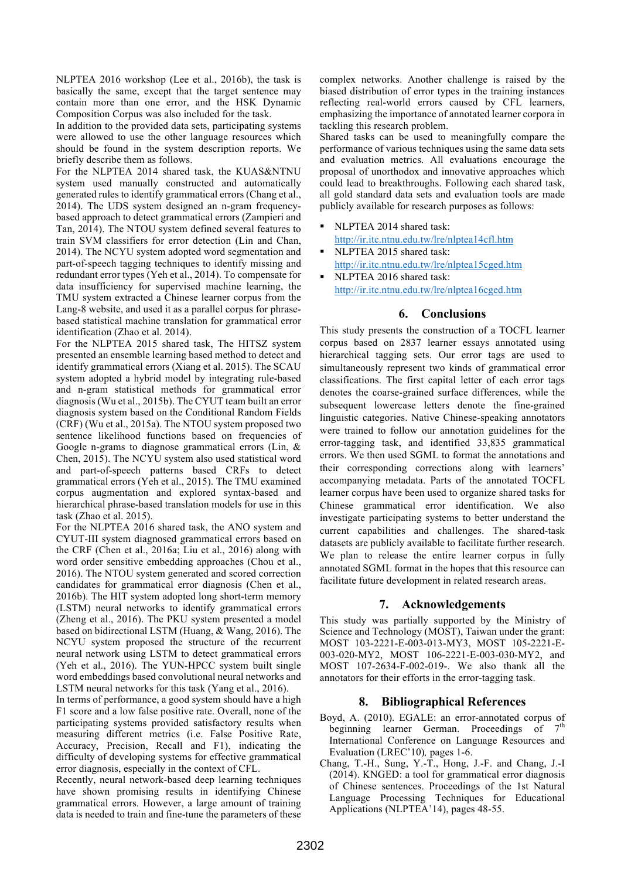NLPTEA 2016 workshop (Lee et al., 2016b), the task is basically the same, except that the target sentence may contain more than one error, and the HSK Dynamic Composition Corpus was also included for the task.

In addition to the provided data sets, participating systems were allowed to use the other language resources which should be found in the system description reports. We briefly describe them as follows.

For the NLPTEA 2014 shared task, the KUAS&NTNU system used manually constructed and automatically generated rules to identify grammatical errors (Chang et al., 2014). The UDS system designed an n-gram frequencybased approach to detect grammatical errors (Zampieri and Tan, 2014). The NTOU system defined several features to train SVM classifiers for error detection (Lin and Chan, 2014). The NCYU system adopted word segmentation and part-of-speech tagging techniques to identify missing and redundant error types (Yeh et al., 2014). To compensate for data insufficiency for supervised machine learning, the TMU system extracted a Chinese learner corpus from the Lang-8 website, and used it as a parallel corpus for phrasebased statistical machine translation for grammatical error identification (Zhao et al. 2014).

For the NLPTEA 2015 shared task, The HITSZ system presented an ensemble learning based method to detect and identify grammatical errors (Xiang et al. 2015). The SCAU system adopted a hybrid model by integrating rule-based and n-gram statistical methods for grammatical error diagnosis (Wu et al., 2015b). The CYUT team built an error diagnosis system based on the Conditional Random Fields (CRF) (Wu et al., 2015a). The NTOU system proposed two sentence likelihood functions based on frequencies of Google n-grams to diagnose grammatical errors (Lin, & Chen, 2015). The NCYU system also used statistical word and part-of-speech patterns based CRFs to detect grammatical errors (Yeh et al., 2015). The TMU examined corpus augmentation and explored syntax-based and hierarchical phrase-based translation models for use in this task (Zhao et al. 2015).

For the NLPTEA 2016 shared task, the ANO system and CYUT-III system diagnosed grammatical errors based on the CRF (Chen et al., 2016a; Liu et al., 2016) along with word order sensitive embedding approaches (Chou et al., 2016). The NTOU system generated and scored correction candidates for grammatical error diagnosis (Chen et al., 2016b). The HIT system adopted long short-term memory (LSTM) neural networks to identify grammatical errors (Zheng et al., 2016). The PKU system presented a model based on bidirectional LSTM (Huang, & Wang, 2016). The NCYU system proposed the structure of the recurrent neural network using LSTM to detect grammatical errors (Yeh et al., 2016). The YUN-HPCC system built single word embeddings based convolutional neural networks and LSTM neural networks for this task (Yang et al., 2016).

In terms of performance, a good system should have a high F1 score and a low false positive rate. Overall, none of the participating systems provided satisfactory results when measuring different metrics (i.e. False Positive Rate, Accuracy, Precision, Recall and F1), indicating the difficulty of developing systems for effective grammatical error diagnosis, especially in the context of CFL.

Recently, neural network-based deep learning techniques have shown promising results in identifying Chinese grammatical errors. However, a large amount of training data is needed to train and fine-tune the parameters of these

complex networks. Another challenge is raised by the biased distribution of error types in the training instances reflecting real-world errors caused by CFL learners, emphasizing the importance of annotated learner corpora in tackling this research problem.

Shared tasks can be used to meaningfully compare the performance of various techniques using the same data sets and evaluation metrics. All evaluations encourage the proposal of unorthodox and innovative approaches which could lead to breakthroughs. Following each shared task, all gold standard data sets and evaluation tools are made publicly available for research purposes as follows:

- § NLPTEA 2014 shared task: http://ir.itc.ntnu.edu.tw/lre/nlptea14cfl.htm
- § NLPTEA 2015 shared task: http://ir.itc.ntnu.edu.tw/lre/nlptea15cged.htm
	- § NLPTEA 2016 shared task: http://ir.itc.ntnu.edu.tw/lre/nlptea16cged.htm

### **6. Conclusions**

This study presents the construction of a TOCFL learner corpus based on 2837 learner essays annotated using hierarchical tagging sets. Our error tags are used to simultaneously represent two kinds of grammatical error classifications. The first capital letter of each error tags denotes the coarse-grained surface differences, while the subsequent lowercase letters denote the fine-grained linguistic categories. Native Chinese-speaking annotators were trained to follow our annotation guidelines for the error-tagging task, and identified 33,835 grammatical errors. We then used SGML to format the annotations and their corresponding corrections along with learners' accompanying metadata. Parts of the annotated TOCFL learner corpus have been used to organize shared tasks for Chinese grammatical error identification. We also investigate participating systems to better understand the current capabilities and challenges. The shared-task datasets are publicly available to facilitate further research. We plan to release the entire learner corpus in fully annotated SGML format in the hopes that this resource can facilitate future development in related research areas.

### **7. Acknowledgements**

This study was partially supported by the Ministry of Science and Technology (MOST), Taiwan under the grant: MOST 103-2221-E-003-013-MY3, MOST 105-2221-E-003-020-MY2, MOST 106-2221-E-003-030-MY2, and MOST 107-2634-F-002-019-. We also thank all the annotators for their efforts in the error-tagging task.

## **8. Bibliographical References**

- Boyd, A. (2010). EGALE: an error-annotated corpus of beginning learner German. Proceedings of 7<sup>th</sup> International Conference on Language Resources and Evaluation (LREC'10)*,* pages 1-6.
- Chang, T.-H., Sung, Y.-T., Hong, J.-F. and Chang, J.-I (2014). KNGED: a tool for grammatical error diagnosis of Chinese sentences. Proceedings of the 1st Natural Language Processing Techniques for Educational Applications (NLPTEA'14), pages 48-55.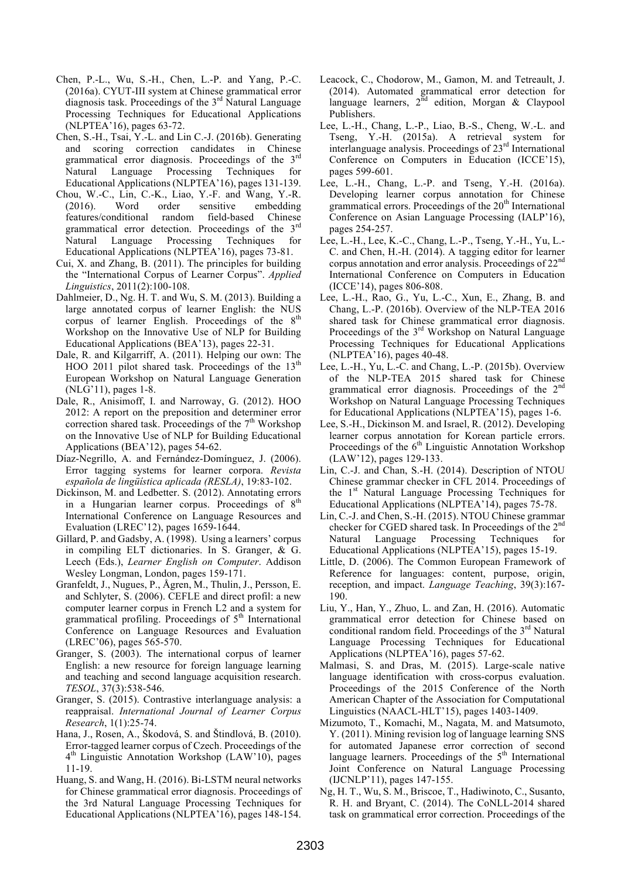- Chen, P.-L., Wu, S.-H., Chen, L.-P. and Yang, P.-C. (2016a). CYUT-III system at Chinese grammatical error  $diagonosis$  task. Proceedings of the  $3<sup>rd</sup>$  Natural Language Processing Techniques for Educational Applications (NLPTEA'16), pages 63-72.
- Chen, S.-H., Tsai, Y.-L. and Lin C.-J. (2016b). Generating and scoring correction candidates in Chinese grammatical error diagnosis. Proceedings of the 3rd Natural Language Processing Techniques for Educational Applications (NLPTEA'16), pages 131-139.
- Chou, W.-C., Lin, C.-K., Liao, Y.-F. and Wang, Y.-R. (2016). Word order sensitive embedding features/conditional random field-based Chinese grammatical error detection. Proceedings of the 3rd Natural Language Processing Techniques for Educational Applications (NLPTEA'16), pages 73-81.
- Cui, X. and Zhang, B. (2011). The principles for building the "International Corpus of Learner Corpus". *Applied Linguistics*, 2011(2):100-108.
- Dahlmeier, D., Ng. H. T. and Wu, S. M. (2013). Building a large annotated corpus of learner English: the NUS corpus of learner English. Proceedings of the 8<sup>th</sup> Workshop on the Innovative Use of NLP for Building Educational Applications (BEA'13), pages 22-31.
- Dale, R. and Kilgarriff, A. (2011). Helping our own: The HOO 2011 pilot shared task. Proceedings of the  $13<sup>th</sup>$ European Workshop on Natural Language Generation (NLG'11), pages 1-8.
- Dale, R., Anisimoff, I. and Narroway, G. (2012). HOO 2012: A report on the preposition and determiner error correction shared task. Proceedings of the  $7<sup>th</sup>$  Workshop on the Innovative Use of NLP for Building Educational Applications (BEA'12), pages 54-62.
- Díaz-Negrillo, A. and Fernández-Domínguez, J. (2006). Error tagging systems for learner corpora. *Revista española de lingüística aplicada (RESLA)*, 19:83-102.
- Dickinson, M. and Ledbetter. S. (2012). Annotating errors in a Hungarian learner corpus. Proceedings of  $8<sup>th</sup>$ International Conference on Language Resources and Evaluation (LREC'12), pages 1659-1644.
- Gillard, P. and Gadsby, A. (1998). Using a learners' corpus in compiling ELT dictionaries. In S. Granger, & G. Leech (Eds.), *Learner English on Computer*. Addison Wesley Longman, London, pages 159-171.
- Granfeldt, J., Nugues, P., Ågren, M., Thulin, J., Persson, E. and Schlyter, S. (2006). CEFLE and direct profil: a new computer learner corpus in French L2 and a system for grammatical profiling. Proceedings of  $5<sup>th</sup>$  International Conference on Language Resources and Evaluation (LREC'06), pages 565-570.
- Granger, S. (2003). The international corpus of learner English: a new resource for foreign language learning and teaching and second language acquisition research. *TESOL*, 37(3):538-546.
- Granger, S. (2015). Contrastive interlanguage analysis: a reappraisal. *International Journal of Learner Corpus Research*, 1(1):25-74.
- Hana, J., Rosen, A., Škodová, S. and Štindlová, B. (2010). Error-tagged learner corpus of Czech. Proceedings of the 4th Linguistic Annotation Workshop (LAW'10), pages 11-19.
- Huang, S. and Wang, H. (2016). Bi-LSTM neural networks for Chinese grammatical error diagnosis. Proceedings of the 3rd Natural Language Processing Techniques for Educational Applications (NLPTEA'16), pages 148-154.
- Leacock, C., Chodorow, M., Gamon, M. and Tetreault, J. (2014). Automated grammatical error detection for language learners,  $2^{\overline{nd}}$  edition, Morgan & Claypool Publishers.
- Lee, L.-H., Chang, L.-P., Liao, B.-S., Cheng, W.-L. and Tseng, Y.-H. (2015a). A retrieval system for interlanguage analysis. Proceedings of 23rd International Conference on Computers in Education (ICCE'15), pages 599-601.
- Lee, L.-H., Chang, L.-P. and Tseng, Y.-H. (2016a). Developing learner corpus annotation for Chinese grammatical errors. Proceedings of the  $20<sup>th</sup>$  International Conference on Asian Language Processing (IALP'16), pages 254-257.
- Lee, L.-H., Lee, K.-C., Chang, L.-P., Tseng, Y.-H., Yu, L.- C. and Chen, H.-H. (2014). A tagging editor for learner corpus annotation and error analysis. Proceedings of 22nd International Conference on Computers in Education (ICCE'14), pages 806-808.
- Lee, L.-H., Rao, G., Yu, L.-C., Xun, E., Zhang, B. and Chang, L.-P. (2016b). Overview of the NLP-TEA 2016 shared task for Chinese grammatical error diagnosis. Proceedings of the 3<sup>rd</sup> Workshop on Natural Language Processing Techniques for Educational Applications (NLPTEA'16), pages 40-48.
- Lee, L.-H., Yu, L.-C. and Chang, L.-P. (2015b). Overview of the NLP-TEA 2015 shared task for Chinese grammatical error diagnosis. Proceedings of the 2<sup>nd</sup> Workshop on Natural Language Processing Techniques for Educational Applications (NLPTEA'15), pages 1-6.
- Lee, S.-H., Dickinson M. and Israel, R. (2012). Developing learner corpus annotation for Korean particle errors. Proceedings of the 6<sup>th</sup> Linguistic Annotation Workshop (LAW'12), pages 129-133.
- Lin, C.-J. and Chan, S.-H. (2014). Description of NTOU Chinese grammar checker in CFL 2014. Proceedings of the 1<sup>st</sup> Natural Language Processing Techniques for Educational Applications (NLPTEA'14), pages 75-78.
- Lin, C.-J. and Chen, S.-H. (2015). NTOU Chinese grammar checker for CGED shared task. In Proceedings of the  $2<sup>n</sup>$ Natural Language Processing Techniques for Educational Applications (NLPTEA'15), pages 15-19.
- Little, D. (2006). The Common European Framework of Reference for languages: content, purpose, origin, reception, and impact. *Language Teaching*, 39(3):167- 190.
- Liu, Y., Han, Y., Zhuo, L. and Zan, H. (2016). Automatic grammatical error detection for Chinese based on conditional random field. Proceedings of the 3<sup>rd</sup> Natural Language Processing Techniques for Educational Applications (NLPTEA'16), pages 57-62.
- Malmasi, S. and Dras, M. (2015). Large-scale native language identification with cross-corpus evaluation. Proceedings of the 2015 Conference of the North American Chapter of the Association for Computational Linguistics (NAACL-HLT'15), pages 1403-1409.
- Mizumoto, T., Komachi, M., Nagata, M. and Matsumoto, Y. (2011). Mining revision log of language learning SNS for automated Japanese error correction of second language learners. Proceedings of the  $5<sup>th</sup>$  International Joint Conference on Natural Language Processing (IJCNLP'11), pages 147-155.
- Ng, H. T., Wu, S. M., Briscoe, T., Hadiwinoto, C., Susanto, R. H. and Bryant, C. (2014). The CoNLL-2014 shared task on grammatical error correction. Proceedings of the